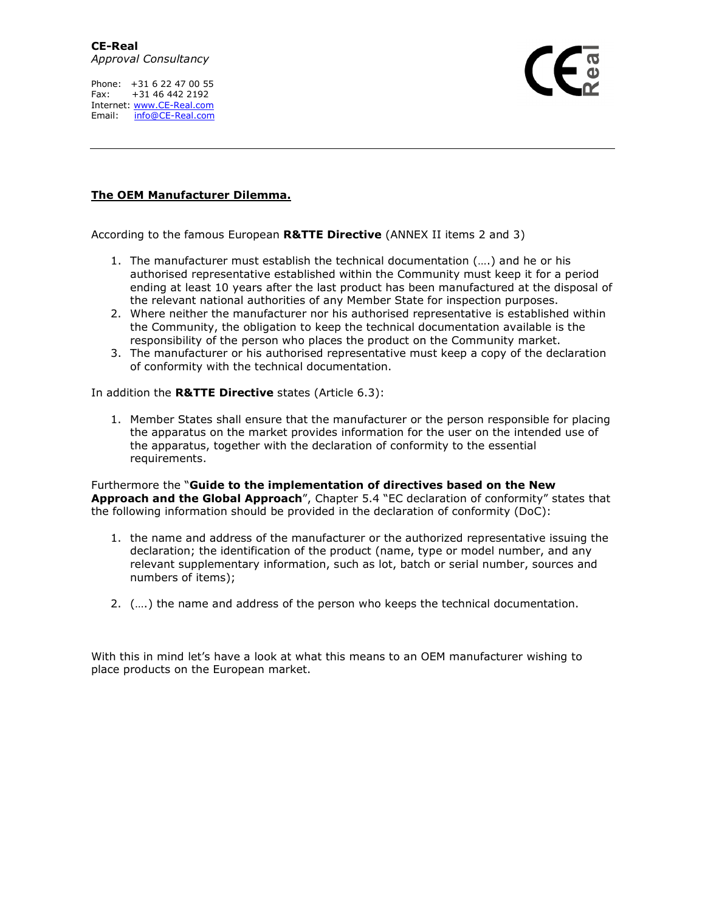Phone: +31 6 22 47 00 55 Fax: +31 46 442 2192 Internet: www.CE-Real.com Email: info@CE-Real.com

## **The OEM Manufacturer Dilemma.**

According to the famous European **R&TTE Directive** (ANNEX II items 2 and 3)

- 1. The manufacturer must establish the technical documentation (….) and he or his authorised representative established within the Community must keep it for a period ending at least 10 years after the last product has been manufactured at the disposal of the relevant national authorities of any Member State for inspection purposes.
- 2. Where neither the manufacturer nor his authorised representative is established within the Community, the obligation to keep the technical documentation available is the responsibility of the person who places the product on the Community market.
- 3. The manufacturer or his authorised representative must keep a copy of the declaration of conformity with the technical documentation.

In addition the **R&TTE Directive** states (Article 6.3):

1. Member States shall ensure that the manufacturer or the person responsible for placing the apparatus on the market provides information for the user on the intended use of the apparatus, together with the declaration of conformity to the essential requirements.

Furthermore the "**Guide to the implementation of directives based on the New Approach and the Global Approach**", Chapter 5.4 "EC declaration of conformity" states that the following information should be provided in the declaration of conformity (DoC):

- 1. the name and address of the manufacturer or the authorized representative issuing the declaration; the identification of the product (name, type or model number, and any relevant supplementary information, such as lot, batch or serial number, sources and numbers of items);
- 2. (….) the name and address of the person who keeps the technical documentation.

With this in mind let's have a look at what this means to an OEM manufacturer wishing to place products on the European market.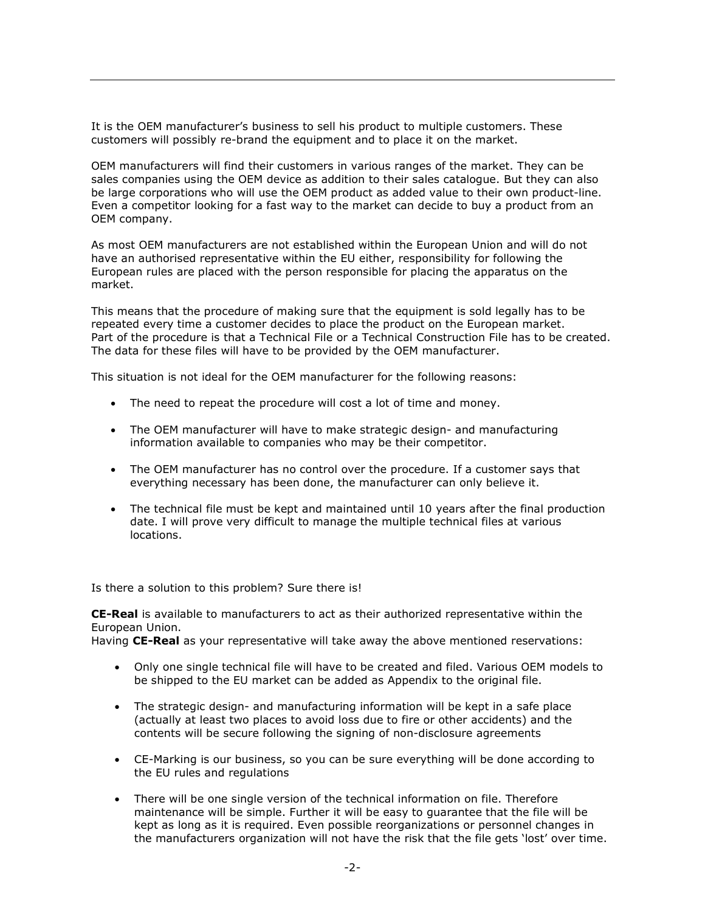It is the OEM manufacturer's business to sell his product to multiple customers. These customers will possibly re-brand the equipment and to place it on the market.

OEM manufacturers will find their customers in various ranges of the market. They can be sales companies using the OEM device as addition to their sales catalogue. But they can also be large corporations who will use the OEM product as added value to their own product-line. Even a competitor looking for a fast way to the market can decide to buy a product from an OEM company.

As most OEM manufacturers are not established within the European Union and will do not have an authorised representative within the EU either, responsibility for following the European rules are placed with the person responsible for placing the apparatus on the market.

This means that the procedure of making sure that the equipment is sold legally has to be repeated every time a customer decides to place the product on the European market. Part of the procedure is that a Technical File or a Technical Construction File has to be created. The data for these files will have to be provided by the OEM manufacturer.

This situation is not ideal for the OEM manufacturer for the following reasons:

- The need to repeat the procedure will cost a lot of time and money.
- The OEM manufacturer will have to make strategic design- and manufacturing information available to companies who may be their competitor.
- The OEM manufacturer has no control over the procedure. If a customer says that everything necessary has been done, the manufacturer can only believe it.
- The technical file must be kept and maintained until 10 years after the final production date. I will prove very difficult to manage the multiple technical files at various locations.

Is there a solution to this problem? Sure there is!

**CE-Real** is available to manufacturers to act as their authorized representative within the European Union.

Having **CE-Real** as your representative will take away the above mentioned reservations:

- Only one single technical file will have to be created and filed. Various OEM models to be shipped to the EU market can be added as Appendix to the original file.
- The strategic design- and manufacturing information will be kept in a safe place (actually at least two places to avoid loss due to fire or other accidents) and the contents will be secure following the signing of non-disclosure agreements
- CE-Marking is our business, so you can be sure everything will be done according to the EU rules and regulations
- There will be one single version of the technical information on file. Therefore maintenance will be simple. Further it will be easy to guarantee that the file will be kept as long as it is required. Even possible reorganizations or personnel changes in the manufacturers organization will not have the risk that the file gets 'lost' over time.